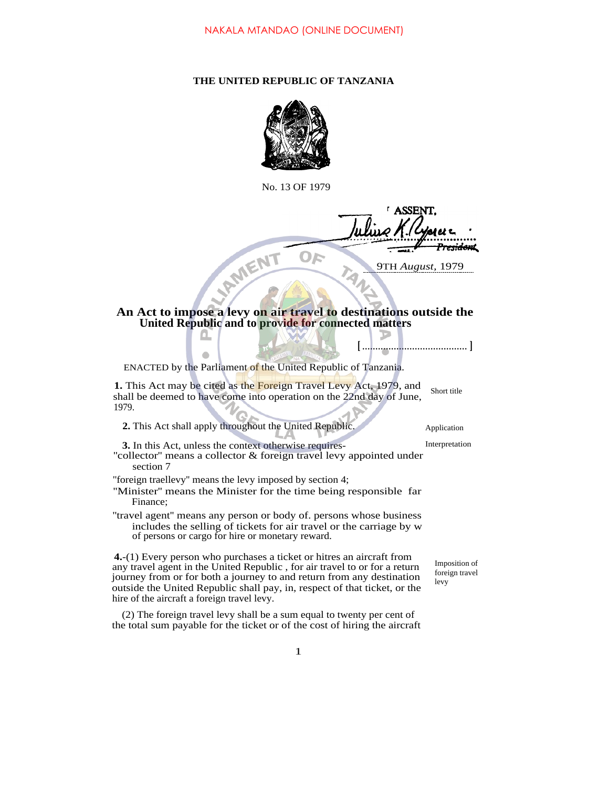## **THE UNITED REPUBLIC OF TANZANIA**



No. 13 OF 1979

ASSEN **AMIENT** OF 9TH *August,* 1979

## **An Act to impose a levy on air travel to destinations outside the United Republic and to provide for connected matters**

**[** ........................................ **]** ENACTED by the Parliament of the United Republic of Tanzania. **1.** This Act may be cited as the Foreign Travel Levy Act, 1979, and shall be deemed to have come into operation on the 22nd day of June, 1979. **2.** This Act shall apply throughout the United Republic. Application **3.** In this Act, unless the context otherwise requires-<br>Interpretation "collector" means a collector & foreign travel levy appointed under section 7 ''foreign traellevy'' means the levy imposed by section 4; ''Minister'' means the Minister for the time being responsible far Finance; ''travel agent'' means any person or body of. persons whose business includes the selling of tickets for air travel or the carriage by w of persons or cargo for hire or monetary reward. **4.**-(1) Every person who purchases a ticket or hitres an aircraft from any travel agent in the United Republic , for air travel to or for a return journey from or for both a journey to and return from any destination outside the United Republic shall pay, in, respect of that ticket, or the hire of the aircraft a foreign travel levy. (2) The foreign travel levy shall be a sum equal to twenty per cent of levy Short title

Imposition of foreign travel

1

the total sum payable for the ticket or of the cost of hiring the aircraft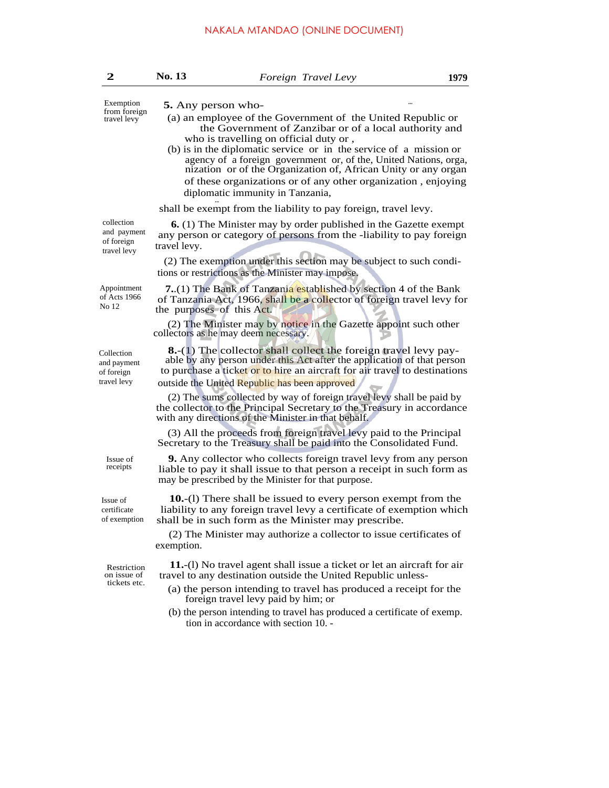| $\mathbf{2}$                                           | No. 13                    | Foreign Travel Levy                                                                                                                                                                                                                                                                                           | 1979 |
|--------------------------------------------------------|---------------------------|---------------------------------------------------------------------------------------------------------------------------------------------------------------------------------------------------------------------------------------------------------------------------------------------------------------|------|
| Exemption<br>from foreign<br>travel levy               | 5. Any person who-        | (a) an employee of the Government of the United Republic or<br>the Government of Zanzibar or of a local authority and<br>who is travelling on official duty or,                                                                                                                                               |      |
|                                                        |                           | (b) is in the diplomatic service or in the service of a mission or<br>agency of a foreign government or, of the, United Nations, orga,<br>nization or of the Organization of, African Unity or any organ<br>of these organizations or of any other organization, enjoying<br>diplomatic immunity in Tanzania, |      |
|                                                        |                           | shall be exempt from the liability to pay foreign, travel levy.                                                                                                                                                                                                                                               |      |
| collection<br>and payment<br>of foreign<br>travel levy | travel levy.              | <b>6.</b> (1) The Minister may by order published in the Gazette exempt<br>any person or category of persons from the -liability to pay foreign                                                                                                                                                               |      |
|                                                        |                           | (2) The exemption under this section may be subject to such condi-<br>tions or restrictions as the Minister may impose.                                                                                                                                                                                       |      |
| Appointment<br>of Acts 1966<br>No 12                   | the purposes of this Act. | <b>7.</b> (1) The Bank of Tanzania established by section 4 of the Bank<br>of Tanzania Act, 1966, shall be a collector of foreign travel levy for                                                                                                                                                             |      |
|                                                        |                           | (2) The Minister may by notice in the Gazette appoint such other<br>collectors as he may deem necessary.                                                                                                                                                                                                      |      |
| Collection<br>and payment<br>of foreign<br>travel levy |                           | <b>8.</b> -(1) The collector shall collect the foreign travel levy pay-<br>able by any person under this Act after the application of that person<br>to purchase a ticket or to hire an aircraft for air travel to destinations<br>outside the United Republic has been approved                              |      |
|                                                        |                           | (2) The sums collected by way of foreign travel levy shall be paid by<br>the collector to the Principal Secretary to the Treasury in accordance<br>with any directions of the Minister in that behalf.                                                                                                        |      |
|                                                        |                           | (3) All the proceeds from foreign travel levy paid to the Principal<br>Secretary to the Treasury shall be paid into the Consolidated Fund.                                                                                                                                                                    |      |
| Issue of<br>receipts                                   |                           | <b>9.</b> Any collector who collects foreign travel levy from any person<br>liable to pay it shall issue to that person a receipt in such form as<br>may be prescribed by the Minister for that purpose.                                                                                                      |      |
| Issue of<br>certificate<br>of exemption                |                           | 10.-(1) There shall be issued to every person exempt from the<br>liability to any foreign travel levy a certificate of exemption which<br>shall be in such form as the Minister may prescribe.                                                                                                                |      |
|                                                        | exemption.                | (2) The Minister may authorize a collector to issue certificates of                                                                                                                                                                                                                                           |      |
| Restriction<br>on issue of<br>tickets etc.             |                           | 11.-(1) No travel agent shall issue a ticket or let an aircraft for air<br>travel to any destination outside the United Republic unless-                                                                                                                                                                      |      |
|                                                        |                           | (a) the person intending to travel has produced a receipt for the<br>foreign travel levy paid by him; or                                                                                                                                                                                                      |      |
|                                                        |                           | (b) the person intending to travel has produced a certificate of exemp.<br>tion in accordance with section 10. -                                                                                                                                                                                              |      |
|                                                        |                           |                                                                                                                                                                                                                                                                                                               |      |
|                                                        |                           |                                                                                                                                                                                                                                                                                                               |      |
|                                                        |                           |                                                                                                                                                                                                                                                                                                               |      |
|                                                        |                           |                                                                                                                                                                                                                                                                                                               |      |